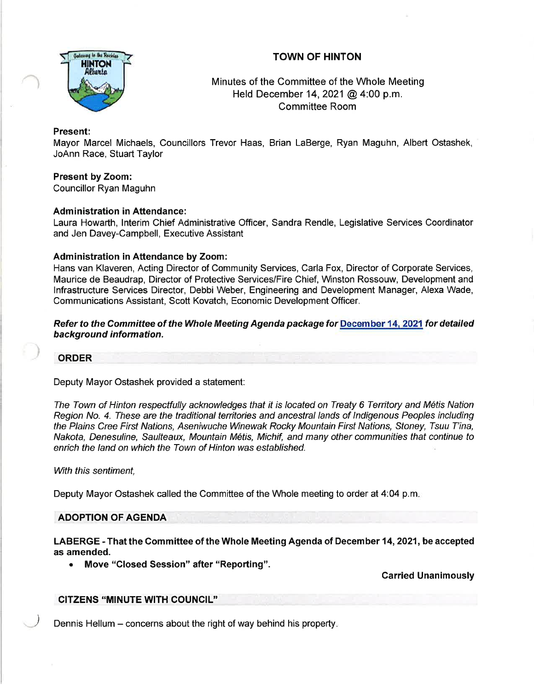

# TOWN OF HINTON

Minutes of the Committee of the Whole Meeting Held December 14,2021@ 4:00 p.m. Committee Room

#### Present:

Mayor Marcel Michaels, Councillors Trevor Haas, Brian LaBerge, Ryan Maguhn, Albert Ostashek, JoAnn Race, Stuart Taylor

# Present by Zoom:

Councillor Ryan Maguhn

### **Administration in Attendance:**

Laura Howarth, lnterim Chief Administrative Officer, Sandra Rendle, Legislative Services Coordinator and Jen Davey-Campbell, Executive Assistant

### Administration in Attendance by Zoom:

Hans van Klaveren, Acting Director of Community Services, Carla Fox, Director of Corporate Services, Maurice de Beaudrap, Director of Protective Services/Fire Chief, Winston Rossouw, Development and lnfrastructure Services Director, Debbi Weber, Engineering and Development Manager, Alexa Wade, Communications Assistant, Scott Kovatch, Economic Development Officer.

Refer to the Committee of the Whole Meeting Agenda package for December 14, 2021 for detailed background information.

#### ORDER

### Deputy Mayor Ostashek provided a statement:

The Town of Hinton respectfully acknowledges that it is located on Treaty 6 Territory and Métis Nation Region No. 4. These are the traditional territories and ancestral lands of Indigenous Peoples including the Plains Cree First Nations, Aseniwuche Winewak Rocky Mountain First Nations, Sfoney, Tsuu T'ina, Nakota, Denesuline, Saulteaux, Mountain M6tis, Michif, and many other communities that continue to enrich the land on which the Town of Hinton was established.

### With this sentiment,

Deputy Mayor Ostashek called the Committee of the Whole meeting to order at 4:04 p.m

### ADOPTION OF AGENDA

LABERGE - That the Committee of the Whole Meeting Agenda of December 14, 2021, be accepted as amended.

• Move "Closed Session" after "Reporting".

Carried Unanimously

### CITZENS 'MINUTE WITH COUNCIL''

Dennis Hellum  $-$  concerns about the right of way behind his property.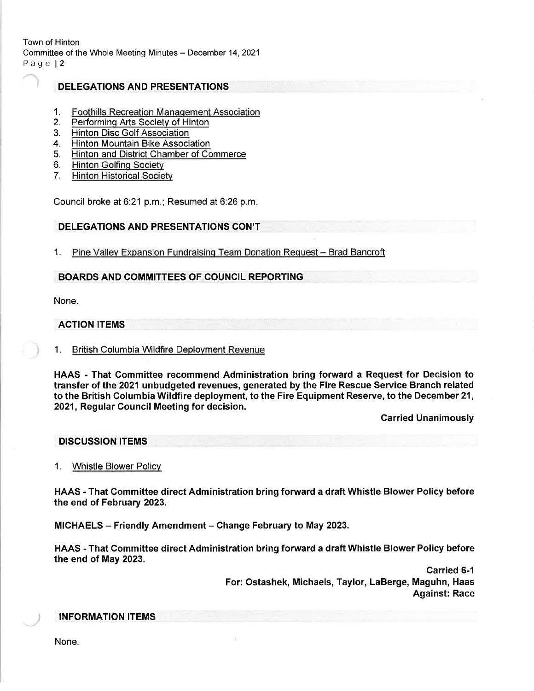Town of Hinton Committee of the Whole Meeting Minutes - December 14, 2021 Page l2

## DELEGATIONS AND PRESENTATIONS

- $1_{\cdot}$ Foothills Recreation Manaqement Association
- 2. Performinq Arts Societv of Hinton
- 3. Hinton Disc Golf Association
- 4. Hinton Mountain Bike Association
- 5. Hinton and District Chamber of Commerce
- 6. <u>Hinton Golfing Society</u>
- 7. Hinton Historical Societv

Council broke at 6:21 p.m.; Resumed at 6:26 p.m.

### DELEGATIONS AND PRESENTATIONS CON'T

1. Pine Valley Expansion Fundraising Team Donation Request - Brad Bancroft

### BOARDS AND COMMITTEES OF COUNCIL REPORTING

None.

## ACTION ITEMS

### 1. British Columbia Wildfire Deployment Revenue

HAAS - That Committee recommend Administration bring forward a Request for Decision to transfer of the 2021 unbudgeted revenues, generated by the Fire Rescue Service Branch related to the British Columbia Wildfire deployment, to the Fire Equipment Reserve, to the December 21, 2021, Regular Council Meeting for decision.

Carried Unanimously

#### DISCUSSION ITEMS

1. Whistle Blower Policv

HAAS - That Gommittee direct Administration bring forward a draft Whistle Blower Policy before the end of February 2023.

MICHAELS - Friendly Amendment - Change February to May 2023.

HAAS - That Gommittee direct Administration bring forward a draft Whistle Blower Policy before the end of May 2023.

> Carried 6-1 For: Ostashek, Michaels, Taylor, LaBerge, Maguhn, Haas Against: Race

### INFORMATION ITEMS

None.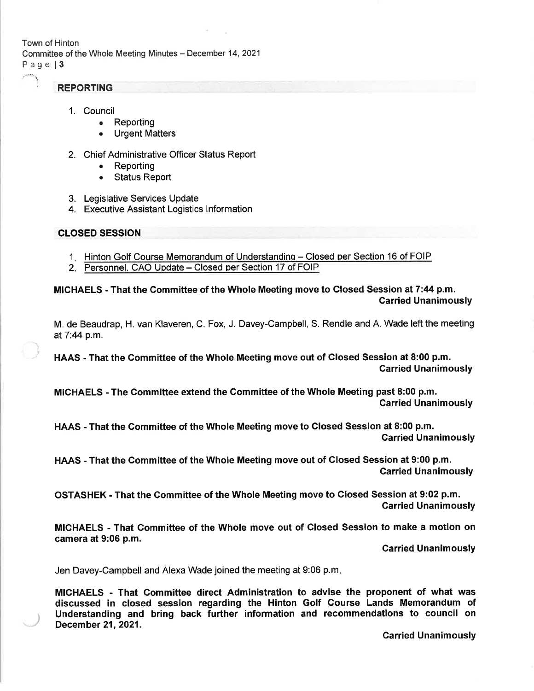Town of Hinton Committee of the Whole Meeting Minutes - December 14, 2021 Page 13

# **REPORTING**

- 1. Council
	- Reporting
		- <sup>a</sup> Urgent Matters
- 2. Chief Administrative Officer Status Report
	- Reporting
	- **Status Report**
- 3. Legislative Services Update
- 4. Executive Assistant Logistics lnformation

## CLOSED SESSION

)

- 1. Hinton Golf Course Memorandum of Understanding Closed per Section 16 of FOIP
- 2. Personnel, CAO Update Closed per Section 17 of FOIP

MICHAELS - That the Committee of the Whole Meeting move to Closed Session at 7:44 p.m. Carried Unanimously

M. de Beaudrap, H. van Klaveren, C. Fox, J. Davey-Campbell, S. Rendle and A. Wade left the meeting at7:44 p.m.

HAAS - That the Gommittee of the Whole Meeting move out of Glosed Session at 8:00 p.m. Carried Unanimously

MICHAELS - The Committee extend the Gommittee of the Whole Meeting past 8:00 p.m. Carried Unanimously

HAAS - That the Committee of the Whole Meeting move to Glosed Session at 8:00 p.m. Carried Unanimously

HAAS - That the Committee of the Whole Meeting move out of Closed Session at 9:00 p.m. Carried Unanimously

OSTASHEK , That the Committee of the Whole Meeting move to Glosed Session at 9:02 p.m. Garried Unanimously

MICHAELS - That Gommittee of the Whole move out of Glosed Session to make a motion on camera at  $9:06$  p.m.

**Carried Unanimously** 

Jen Davey-Campbell and Alexa Wade joined the meeting at 9:06 p.m

MICHAELS - That Gommittee direct Administration to advise the proponent of what was discussed in closed session regarding the Hinton Golf Course Lands Memorandum of Understanding and bring back further information and recommendations to council on December 21, 2021.

**Carried Unanimously**